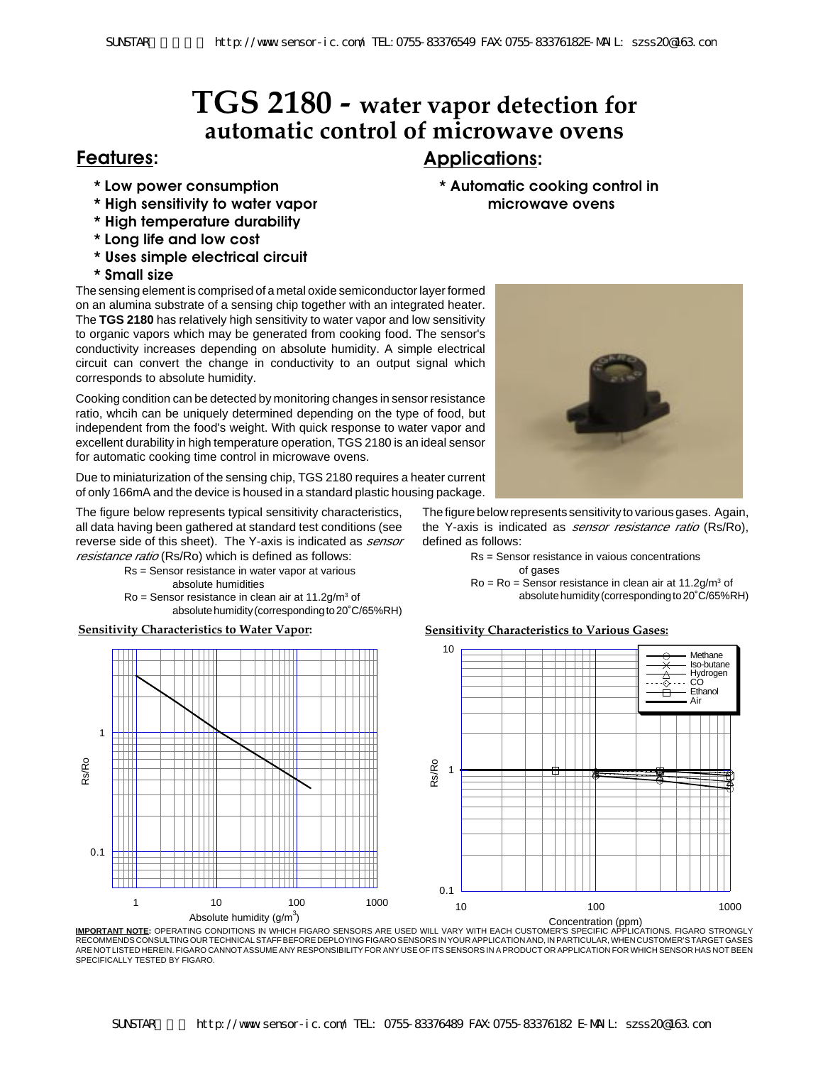# **TGS 2180 - water vapor detection for automatic control of microwave ovens**

## **Features: Applications:**

- **\* Low power consumption**
- **\* High sensitivity to water vapor**
- **\* High temperature durability**
- **\* Long life and low cost**
- **\* Uses simple electrical circuit**
- **\* Small size**

The sensing element is comprised of a metal oxide semiconductor layer formed on an alumina substrate of a sensing chip together with an integrated heater. The **TGS 2180** has relatively high sensitivity to water vapor and low sensitivity to organic vapors which may be generated from cooking food. The sensor's conductivity increases depending on absolute humidity. A simple electrical circuit can convert the change in conductivity to an output signal which corresponds to absolute humidity.

Cooking condition can be detected by monitoring changes in sensor resistance ratio, whcih can be uniquely determined depending on the type of food, but independent from the food's weight. With quick response to water vapor and excellent durability in high temperature operation, TGS 2180 is an ideal sensor for automatic cooking time control in microwave ovens.

Due to miniaturization of the sensing chip, TGS 2180 requires a heater current of only 166mA and the device is housed in a standard plastic housing package.

The figure below represents typical sensitivity characteristics, all data having been gathered at standard test conditions (see reverse side of this sheet). The Y-axis is indicated as *sensor* resistance ratio (Rs/Ro) which is defined as follows:

- Rs = Sensor resistance in water vapor at various absolute humidities
- Ro = Sensor resistance in clean air at 11.2g/m<sup>3</sup> of absolute humidity (corresponding to 20˚C/65%RH)





**\* Automatic cooking control in microwave ovens**



The figure below represents sensitivity to various gases. Again, the Y-axis is indicated as *sensor resistance ratio* (Rs/Ro), defined as follows:

> Rs = Sensor resistance in vaious concentrations of gases

 $Ro = Ro =$  Sensor resistance in clean air at 11.2g/m<sup>3</sup> of absolute humidity (corresponding to 20˚C/65%RH)



**IMPORTANT NOTE:** OPERATING CONDITIONS IN WHICH FIGARO SENSORS ARE USED WILL VARY WITH EACH CUSTOMER'S SPECIFIC APPLICATIONS. FIGARO STRONGLY Concentration (ppm) RECOMMENDS CONSULTING OUR TECHNICAL STAFF BEFORE DEPLOYING FIGARO SENSORS IN YOUR APPLICATION AND, IN PARTICULAR, WHEN CUSTOMER'S TARGET GASES ARE NOT LISTED HEREIN. FIGARO CANNOT ASSUME ANY RESPONSIBILITY FOR ANY USE OF ITS SENSORS IN A PRODUCT OR APPLICATION FOR WHICH SENSOR HAS NOT BEEN SPECIFICALLY TESTED BY FIGARO.